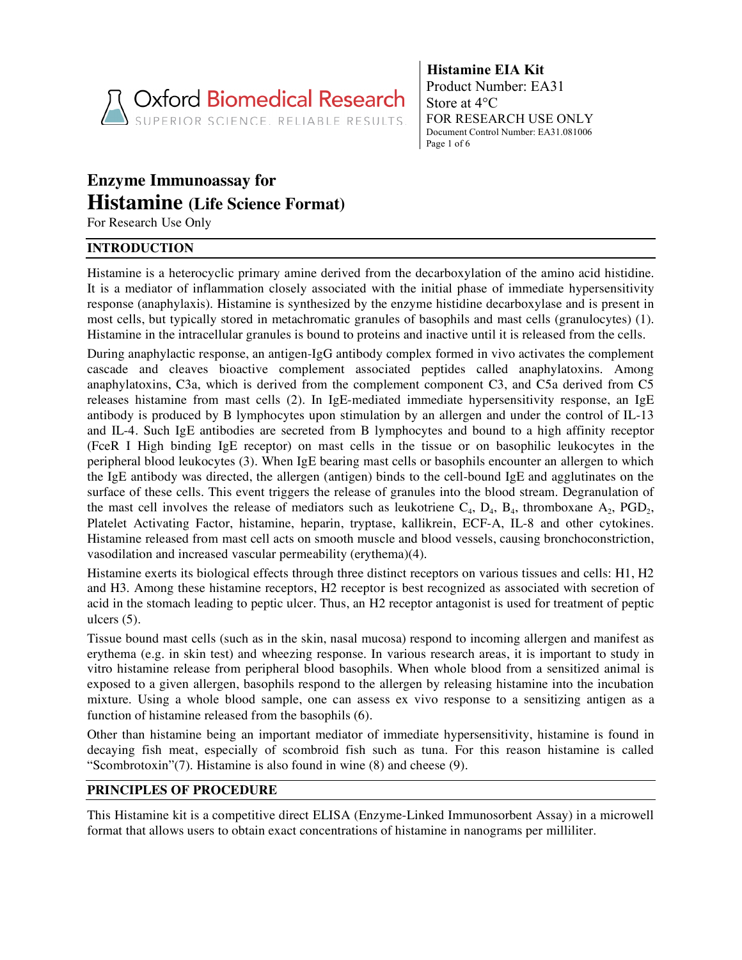

**Histamine EIA Kit** Product Number: EA31 Store at 4°C FOR RESEARCH USE ONLY Document Control Number: EA31.081006 Page 1 of 6

# **Enzyme Immunoassay for Histamine (Life Science Format)**

For Research Use Only

# **INTRODUCTION**

Histamine is a heterocyclic primary amine derived from the decarboxylation of the amino acid histidine. It is a mediator of inflammation closely associated with the initial phase of immediate hypersensitivity response (anaphylaxis). Histamine is synthesized by the enzyme histidine decarboxylase and is present in most cells, but typically stored in metachromatic granules of basophils and mast cells (granulocytes) (1). Histamine in the intracellular granules is bound to proteins and inactive until it is released from the cells.

During anaphylactic response, an antigen-IgG antibody complex formed in vivo activates the complement cascade and cleaves bioactive complement associated peptides called anaphylatoxins. Among anaphylatoxins, C3a, which is derived from the complement component C3, and C5a derived from C5 releases histamine from mast cells (2). In IgE-mediated immediate hypersensitivity response, an IgE antibody is produced by B lymphocytes upon stimulation by an allergen and under the control of IL-13 and IL-4. Such IgE antibodies are secreted from B lymphocytes and bound to a high affinity receptor (FceR I High binding IgE receptor) on mast cells in the tissue or on basophilic leukocytes in the peripheral blood leukocytes (3). When IgE bearing mast cells or basophils encounter an allergen to which the IgE antibody was directed, the allergen (antigen) binds to the cell-bound IgE and agglutinates on the surface of these cells. This event triggers the release of granules into the blood stream. Degranulation of the mast cell involves the release of mediators such as leukotriene  $C_4$ ,  $D_4$ ,  $B_4$ , thromboxane  $A_2$ ,  $PGD_2$ , Platelet Activating Factor, histamine, heparin, tryptase, kallikrein, ECF-A, IL-8 and other cytokines. Histamine released from mast cell acts on smooth muscle and blood vessels, causing bronchoconstriction, vasodilation and increased vascular permeability (erythema)(4).

Histamine exerts its biological effects through three distinct receptors on various tissues and cells: H1, H2 and H3. Among these histamine receptors, H2 receptor is best recognized as associated with secretion of acid in the stomach leading to peptic ulcer. Thus, an H2 receptor antagonist is used for treatment of peptic ulcers (5).

Tissue bound mast cells (such as in the skin, nasal mucosa) respond to incoming allergen and manifest as erythema (e.g. in skin test) and wheezing response. In various research areas, it is important to study in vitro histamine release from peripheral blood basophils. When whole blood from a sensitized animal is exposed to a given allergen, basophils respond to the allergen by releasing histamine into the incubation mixture. Using a whole blood sample, one can assess ex vivo response to a sensitizing antigen as a function of histamine released from the basophils (6).

Other than histamine being an important mediator of immediate hypersensitivity, histamine is found in decaying fish meat, especially of scombroid fish such as tuna. For this reason histamine is called "Scombrotoxin"(7). Histamine is also found in wine (8) and cheese (9).

# **PRINCIPLES OF PROCEDURE**

This Histamine kit is a competitive direct ELISA (Enzyme-Linked Immunosorbent Assay) in a microwell format that allows users to obtain exact concentrations of histamine in nanograms per milliliter.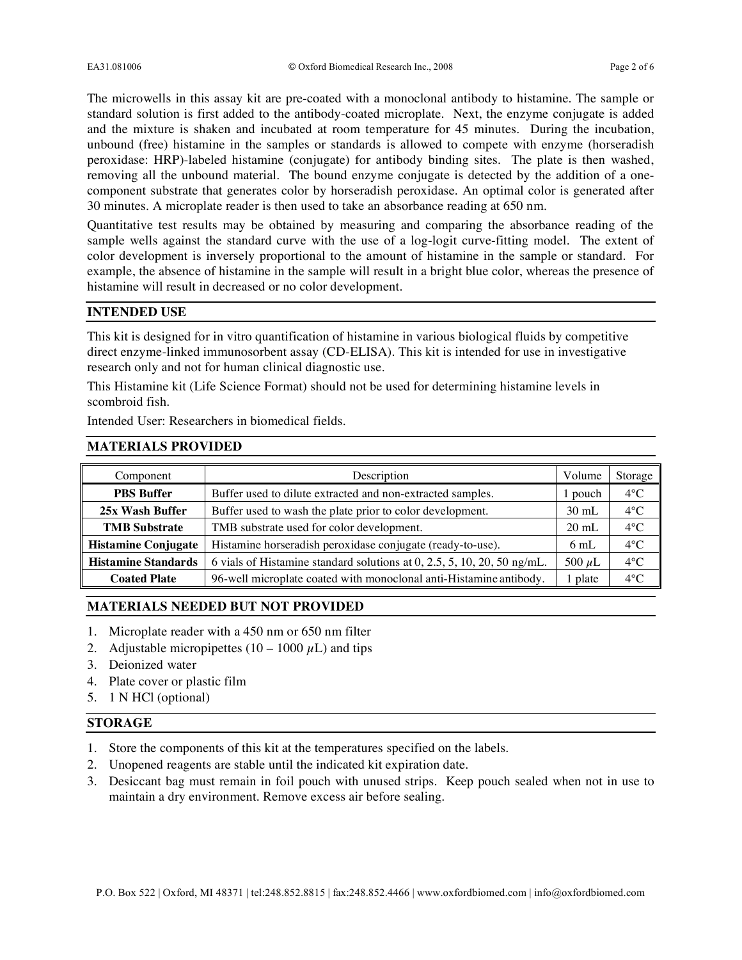The microwells in this assay kit are pre-coated with a monoclonal antibody to histamine. The sample or standard solution is first added to the antibody-coated microplate. Next, the enzyme conjugate is added and the mixture is shaken and incubated at room temperature for 45 minutes. During the incubation, unbound (free) histamine in the samples or standards is allowed to compete with enzyme (horseradish peroxidase: HRP)-labeled histamine (conjugate) for antibody binding sites. The plate is then washed, removing all the unbound material. The bound enzyme conjugate is detected by the addition of a onecomponent substrate that generates color by horseradish peroxidase. An optimal color is generated after 30 minutes. A microplate reader is then used to take an absorbance reading at 650 nm.

Quantitative test results may be obtained by measuring and comparing the absorbance reading of the sample wells against the standard curve with the use of a log-logit curve-fitting model. The extent of color development is inversely proportional to the amount of histamine in the sample or standard. For example, the absence of histamine in the sample will result in a bright blue color, whereas the presence of histamine will result in decreased or no color development.

#### **INTENDED USE**

This kit is designed for in vitro quantification of histamine in various biological fluids by competitive direct enzyme-linked immunosorbent assay (CD-ELISA). This kit is intended for use in investigative research only and not for human clinical diagnostic use.

This Histamine kit (Life Science Format) should not be used for determining histamine levels in scombroid fish.

Intended User: Researchers in biomedical fields.

## **MATERIALS PROVIDED**

| Component                  | Description                                                             | Volume          | Storage       |
|----------------------------|-------------------------------------------------------------------------|-----------------|---------------|
| <b>PBS Buffer</b>          | Buffer used to dilute extracted and non-extracted samples.              | pouch           | $4^{\circ}C$  |
| 25x Wash Buffer            | Buffer used to wash the plate prior to color development.               | $30 \text{ mL}$ | $4^{\circ}$ C |
| <b>TMB</b> Substrate       | TMB substrate used for color development.                               | $20 \text{ mL}$ | $4^{\circ}C$  |
| <b>Histamine Conjugate</b> | Histamine horseradish peroxidase conjugate (ready-to-use).              | $6 \text{ mL}$  | $4^{\circ}C$  |
| <b>Histamine Standards</b> | 6 vials of Histamine standard solutions at 0, 2.5, 5, 10, 20, 50 ng/mL. | 500 $\mu$ L     | $4^{\circ}C$  |
| <b>Coated Plate</b>        | 96-well microplate coated with monoclonal anti-Histamine antibody.      | 1 plate         | $4^{\circ}C$  |

## **MATERIALS NEEDED BUT NOT PROVIDED**

- 1. Microplate reader with a 450 nm or 650 nm filter
- 2. Adjustable micropipettes  $(10 1000 \mu L)$  and tips
- 3. Deionized water
- 4. Plate cover or plastic film
- 5. 1 N HCl (optional)

## **STORAGE**

- 1. Store the components of this kit at the temperatures specified on the labels.
- 2. Unopened reagents are stable until the indicated kit expiration date.
- 3. Desiccant bag must remain in foil pouch with unused strips. Keep pouch sealed when not in use to maintain a dry environment. Remove excess air before sealing.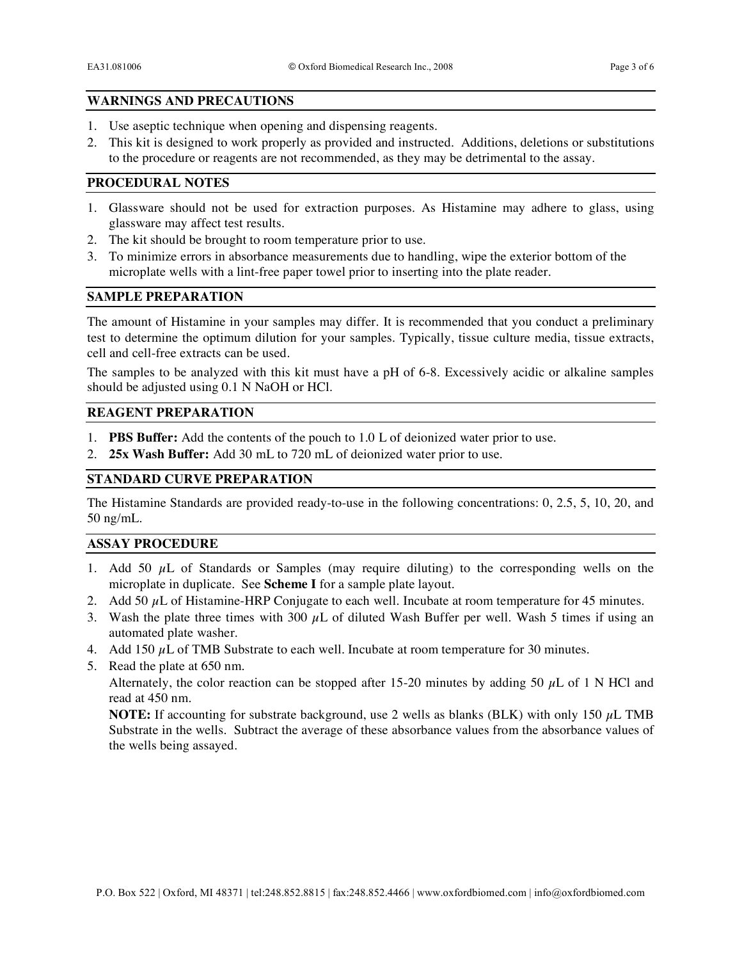## **WARNINGS AND PRECAUTIONS**

- 1. Use aseptic technique when opening and dispensing reagents.
- 2. This kit is designed to work properly as provided and instructed. Additions, deletions or substitutions to the procedure or reagents are not recommended, as they may be detrimental to the assay.

# **PROCEDURAL NOTES**

- 1. Glassware should not be used for extraction purposes. As Histamine may adhere to glass, using glassware may affect test results.
- 2. The kit should be brought to room temperature prior to use.
- 3. To minimize errors in absorbance measurements due to handling, wipe the exterior bottom of the microplate wells with a lint-free paper towel prior to inserting into the plate reader.

## **SAMPLE PREPARATION**

The amount of Histamine in your samples may differ. It is recommended that you conduct a preliminary test to determine the optimum dilution for your samples. Typically, tissue culture media, tissue extracts, cell and cell-free extracts can be used.

The samples to be analyzed with this kit must have a pH of 6-8. Excessively acidic or alkaline samples should be adjusted using 0.1 N NaOH or HCl.

## **REAGENT PREPARATION**

- 1. **PBS Buffer:** Add the contents of the pouch to 1.0 L of deionized water prior to use.
- 2. **25x Wash Buffer:** Add 30 mL to 720 mL of deionized water prior to use.

# **STANDARD CURVE PREPARATION**

The Histamine Standards are provided ready-to-use in the following concentrations: 0, 2.5, 5, 10, 20, and 50 ng/mL.

#### **ASSAY PROCEDURE**

- 1. Add 50  $\mu$ L of Standards or Samples (may require diluting) to the corresponding wells on the microplate in duplicate. See **Scheme I** for a sample plate layout.
- 2. Add 50  $\mu$ L of Histamine-HRP Conjugate to each well. Incubate at room temperature for 45 minutes.
- 3. Wash the plate three times with 300  $\mu$ L of diluted Wash Buffer per well. Wash 5 times if using an automated plate washer.
- 4. Add 150  $\mu$ L of TMB Substrate to each well. Incubate at room temperature for 30 minutes.
- 5. Read the plate at 650 nm.

Alternately, the color reaction can be stopped after 15-20 minutes by adding 50  $\mu$ L of 1 N HCl and read at 450 nm.

**NOTE:** If accounting for substrate background, use 2 wells as blanks (BLK) with only 150  $\mu$ L TMB Substrate in the wells. Subtract the average of these absorbance values from the absorbance values of the wells being assayed.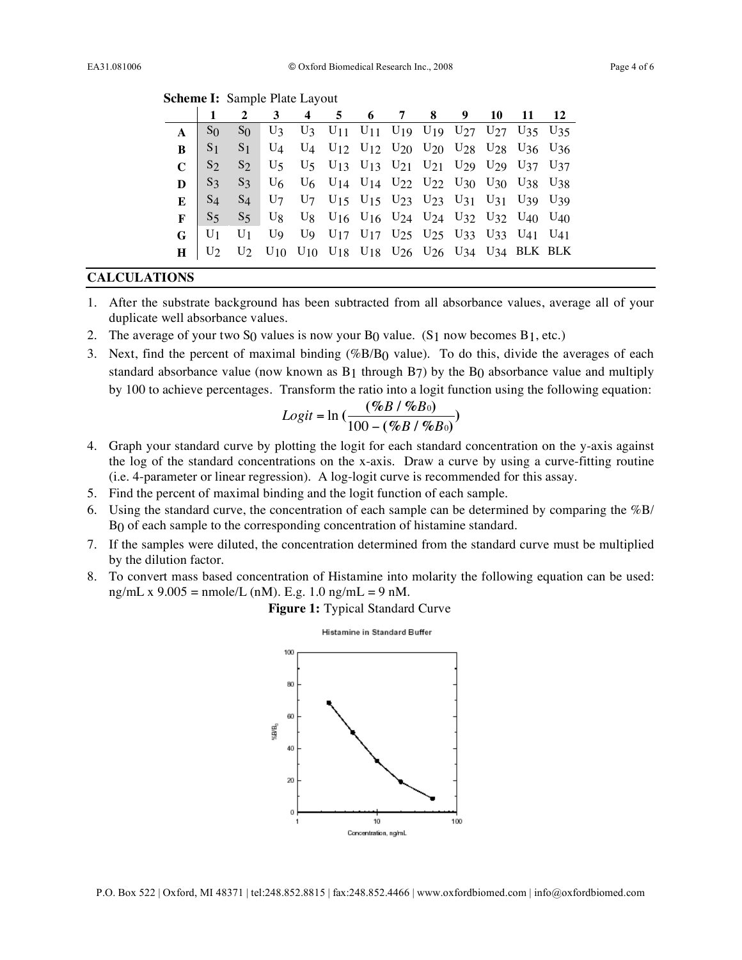|  |  | <b>Scheme I:</b> Sample Plate Layout |
|--|--|--------------------------------------|
|--|--|--------------------------------------|

|          |                               | $\overline{2}$ | 3 4 5 6 7 8 9 10 11                                                                                                                                                                                                        |  |  |  |                                                                                                                                                                               | <b>12</b> |
|----------|-------------------------------|----------------|----------------------------------------------------------------------------------------------------------------------------------------------------------------------------------------------------------------------------|--|--|--|-------------------------------------------------------------------------------------------------------------------------------------------------------------------------------|-----------|
|          | S <sub>0</sub>                | $S_0$          |                                                                                                                                                                                                                            |  |  |  | U <sub>3</sub> U <sub>3</sub> U <sub>11</sub> U <sub>11</sub> U <sub>19</sub> U <sub>19</sub> U <sub>27</sub> U <sub>27</sub> U <sub>27</sub> U <sub>35</sub> U <sub>35</sub> |           |
| $\bf{R}$ | S <sub>1</sub>                |                | $S_1$ U <sub>4</sub> U <sub>4</sub> U <sub>12</sub> U <sub>12</sub> U <sub>20</sub> U <sub>20</sub> U <sub>28</sub> U <sub>28</sub> U <sub>36</sub> U <sub>36</sub>                                                        |  |  |  |                                                                                                                                                                               |           |
|          | $C \mid S_2$                  |                | S <sub>2</sub> U <sub>5</sub> U <sub>5</sub> U <sub>13</sub> U <sub>13</sub> U <sub>13</sub> U <sub>21</sub> U <sub>21</sub> U <sub>29</sub> U <sub>29</sub> U <sub>37</sub> U <sub>37</sub>                               |  |  |  |                                                                                                                                                                               |           |
|          |                               |                | $\mathbf{D}$   S <sub>3</sub> S <sub>3</sub> U <sub>6</sub> U <sub>6</sub> U <sub>14</sub> U <sub>14</sub> U <sub>14</sub> U <sub>22</sub> U <sub>22</sub> U <sub>30</sub> U <sub>30</sub> U <sub>38</sub> U <sub>38</sub> |  |  |  |                                                                                                                                                                               |           |
|          |                               |                | <b>E</b>   S <sub>4</sub> S <sub>4</sub> U <sub>7</sub> U <sub>7</sub> U <sub>15</sub> U <sub>15</sub> U <sub>15</sub> U <sub>23</sub> U <sub>23</sub> U <sub>31</sub> U <sub>31</sub> U <sub>39</sub> U <sub>39</sub>     |  |  |  |                                                                                                                                                                               |           |
|          | $\mathbf{F}$   S <sub>5</sub> |                | S <sub>5</sub> U <sub>8</sub> U <sub>8</sub> U <sub>16</sub> U <sub>16</sub> U <sub>24</sub> U <sub>24</sub> U <sub>32</sub> U <sub>32</sub> U <sub>40</sub> U <sub>40</sub>                                               |  |  |  |                                                                                                                                                                               |           |
|          | $G$   U <sub>1</sub>          |                | $\overline{U_1}$ U <sub>9</sub> U <sub>9</sub> U <sub>17</sub> U <sub>17</sub> U <sub>25</sub> U <sub>25</sub> U <sub>25</sub> U <sub>33</sub> U <sub>33</sub> U <sub>41</sub> U <sub>41</sub>                             |  |  |  |                                                                                                                                                                               |           |
| $\bf H$  |                               |                | $\begin{bmatrix} U_2 & U_2 & U_{10} & U_{10} & U_{18} & U_{18} & U_{26} & U_{26} & U_{34} & U_{34} & BLK BLK \end{bmatrix}$                                                                                                |  |  |  |                                                                                                                                                                               |           |

## **CALCULATIONS**

- 1. After the substrate background has been subtracted from all absorbance values, average all of your duplicate well absorbance values.
- 2. The average of your two S<sub>0</sub> values is now your B<sub>0</sub> value. (S<sub>1</sub> now becomes B<sub>1</sub>, etc.)
- 3. Next, find the percent of maximal binding (%B/B0 value). To do this, divide the averages of each standard absorbance value (now known as  $B_1$  through  $B_7$ ) by the  $B_0$  absorbance value and multiply by 100 to achieve percentages. Transform the ratio into a logit function using the following equation:

$$
Logit = \ln\left(\frac{(\%B / \%B_0)}{100 - (\%B / \%B_0)}\right)
$$

- 4. Graph your standard curve by plotting the logit for each standard concentration on the y-axis against the log of the standard concentrations on the x-axis. Draw a curve by using a curve-fitting routine (i.e. 4-parameter or linear regression). A log-logit curve is recommended for this assay.
- ! 5. Find the percent of maximal binding and the logit function of each sample.
- 6. Using the standard curve, the concentration of each sample can be determined by comparing the %B/ B0 of each sample to the corresponding concentration of histamine standard.
- 7. If the samples were diluted, the concentration determined from the standard curve must be multiplied by the dilution factor.
- 8. To convert mass based concentration of Histamine into molarity the following equation can be used: ng/mL x 9.005 = nmole/L (nM). E.g. 1.0 ng/mL = 9 nM.

#### **Figure 1:** Typical Standard Curve



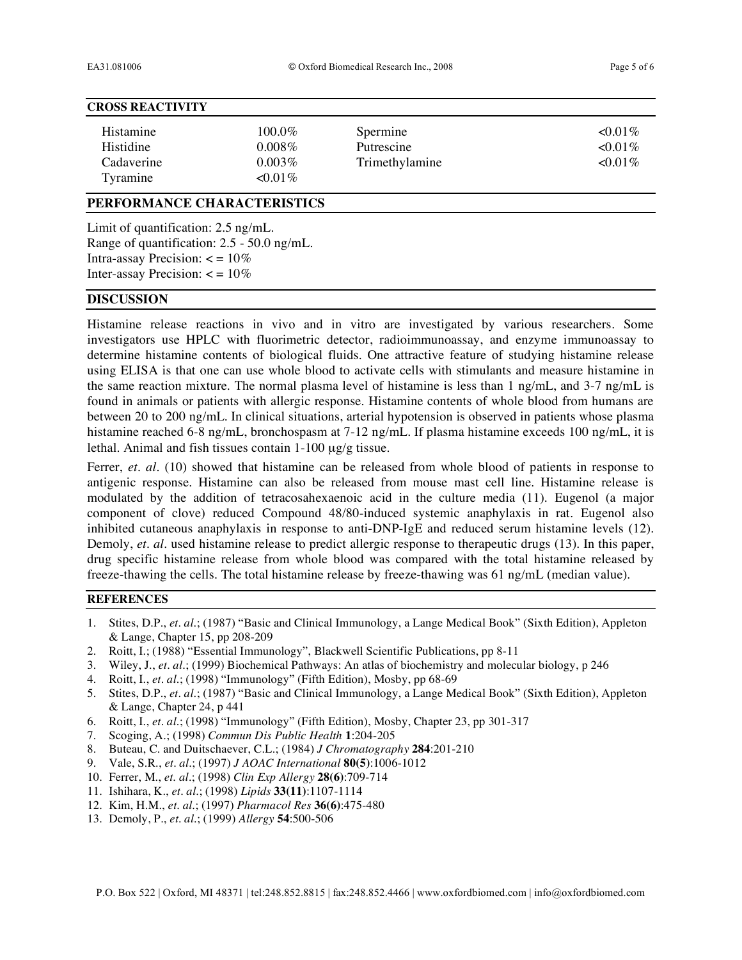#### **CROSS REACTIVITY**

| Histamine  | 100.0%    | Spermine       | $\leq 0.01\%$ |
|------------|-----------|----------------|---------------|
| Histidine  | $0.008\%$ | Putrescine     | $\leq 0.01\%$ |
| Cadaverine | $0.003\%$ | Trimethylamine | $0.01\%$      |
| Tyramine   | $0.01\%$  |                |               |

#### **PERFORMANCE CHARACTERISTICS**

Limit of quantification: 2.5 ng/mL. Range of quantification: 2.5 - 50.0 ng/mL. Intra-assay Precision:  $\lt$  = 10% Inter-assay Precision:  $\lt$  = 10%

# **DISCUSSION**

Histamine release reactions in vivo and in vitro are investigated by various researchers. Some investigators use HPLC with fluorimetric detector, radioimmunoassay, and enzyme immunoassay to determine histamine contents of biological fluids. One attractive feature of studying histamine release using ELISA is that one can use whole blood to activate cells with stimulants and measure histamine in the same reaction mixture. The normal plasma level of histamine is less than 1 ng/mL, and 3-7 ng/mL is found in animals or patients with allergic response. Histamine contents of whole blood from humans are between 20 to 200 ng/mL. In clinical situations, arterial hypotension is observed in patients whose plasma histamine reached 6-8 ng/mL, bronchospasm at 7-12 ng/mL. If plasma histamine exceeds 100 ng/mL, it is lethal. Animal and fish tissues contain 1-100 µg/g tissue.

Ferrer, *et. al.* (10) showed that histamine can be released from whole blood of patients in response to antigenic response. Histamine can also be released from mouse mast cell line. Histamine release is modulated by the addition of tetracosahexaenoic acid in the culture media (11). Eugenol (a major component of clove) reduced Compound 48/80-induced systemic anaphylaxis in rat. Eugenol also inhibited cutaneous anaphylaxis in response to anti-DNP-IgE and reduced serum histamine levels (12). Demoly, *et. al.* used histamine release to predict allergic response to therapeutic drugs (13). In this paper, drug specific histamine release from whole blood was compared with the total histamine released by freeze-thawing the cells. The total histamine release by freeze-thawing was 61 ng/mL (median value).

# **REFERENCES**

- 1. Stites, D.P., *et. al.*; (1987) "Basic and Clinical Immunology, a Lange Medical Book" (Sixth Edition), Appleton & Lange, Chapter 15, pp 208-209
- 2. Roitt, I.; (1988) "Essential Immunology", Blackwell Scientific Publications, pp 8-11
- 3. Wiley, J., *et. al.*; (1999) Biochemical Pathways: An atlas of biochemistry and molecular biology, p 246
- 4. Roitt, I., *et. al.*; (1998) "Immunology" (Fifth Edition), Mosby, pp 68-69
- 5. Stites, D.P., *et. al.*; (1987) "Basic and Clinical Immunology, a Lange Medical Book" (Sixth Edition), Appleton & Lange, Chapter 24, p 441
- 6. Roitt, I., *et. al.*; (1998) "Immunology" (Fifth Edition), Mosby, Chapter 23, pp 301-317
- 7. Scoging, A.; (1998) *Commun Dis Public Health* **1**:204-205
- 8. Buteau, C. and Duitschaever, C.L.; (1984) *J Chromatography* **284**:201-210
- 9. Vale, S.R., *et. al.*; (1997) *J AOAC International* **80(5)**:1006-1012
- 10. Ferrer, M., *et. al.*; (1998) *Clin Exp Allergy* **28(6)**:709-714
- 11. Ishihara, K., *et. al.*; (1998) *Lipids* **33(11)**:1107-1114
- 12. Kim, H.M., *et. al.*; (1997) *Pharmacol Res* **36(6)**:475-480
- 13. Demoly, P., *et. al.*; (1999) *Allergy* **54**:500-506